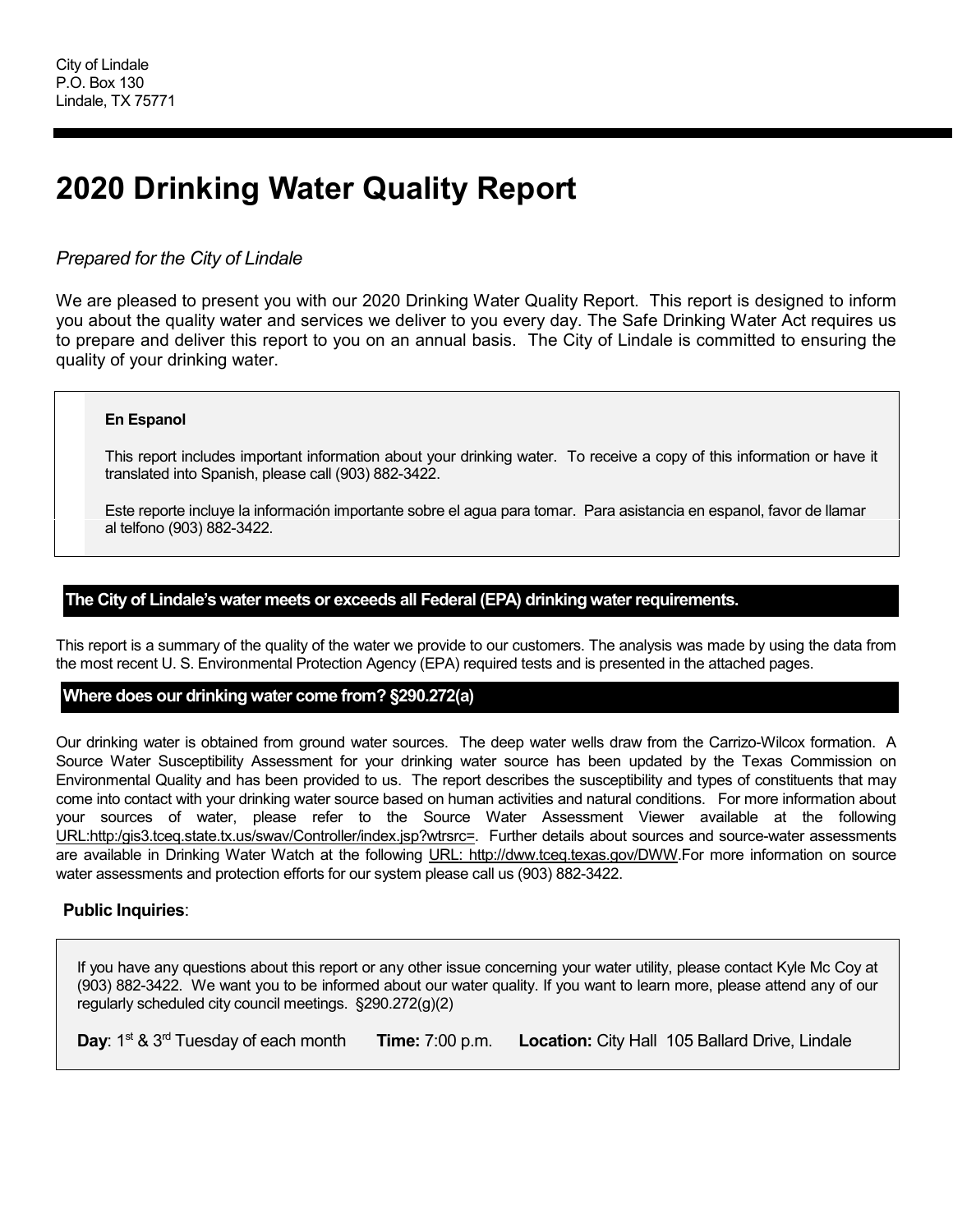# **2020 Drinking Water Quality Report**

# *Prepared for the City of Lindale*

We are pleased to present you with our 2020 Drinking Water Quality Report. This report is designed to inform you about the quality water and services we deliver to you every day. The Safe Drinking Water Act requires us to prepare and deliver this report to you on an annual basis. The City of Lindale is committed to ensuring the quality of your drinking water.

# **En Espanol**

This report includes important information about your drinking water. To receive a copy of this information or have it translated into Spanish, please call (903) 882-3422.

Este reporte incluye la información importante sobre el agua para tomar. Para asistancia en espanol, favor de llamar al telfono (903) 882-3422.

# **The City of Lindale's water meets or exceeds all Federal (EPA) drinking water requirements.**

This report is a summary of the quality of the water we provide to our customers. The analysis was made by using the data from the most recent U. S. Environmental Protection Agency (EPA) required tests and is presented in the attached pages.

# **Where does our drinking water come from? §290.272(a)**

Our drinking water is obtained from ground water sources. The deep water wells draw from the Carrizo-Wilcox formation. A Source Water Susceptibility Assessment for your drinking water source has been updated by the Texas Commission on Environmental Quality and has been provided to us. The report describes the susceptibility and types of constituents that may come into contact with your drinking water source based on human activities and natural conditions. For more information about your sources of water, please refer to the Source Water Assessment Viewer available at the following URL:http:/gis3.tceq.state.tx.us/swav/Controller/index.jsp?wtrsrc=. Further details about sources and source-water assessments are available in Drinking Water Watch at the following URL: http://dww.tceq.texas.gov/DWW.For more information on source water assessments and protection efforts for our system please call us (903) 882-3422.

# **Public Inquiries**:

If you have any questions about this report or any other issue concerning your water utility, please contact Kyle Mc Coy at (903) 882-3422. We want you to be informed about our water quality. If you want to learn more, please attend any of our regularly scheduled city council meetings. §290.272(g)(2)

**Day**: 1st & 3rd Tuesday of each month **Time:** 7:00 p.m. **Location:** City Hall 105 Ballard Drive, Lindale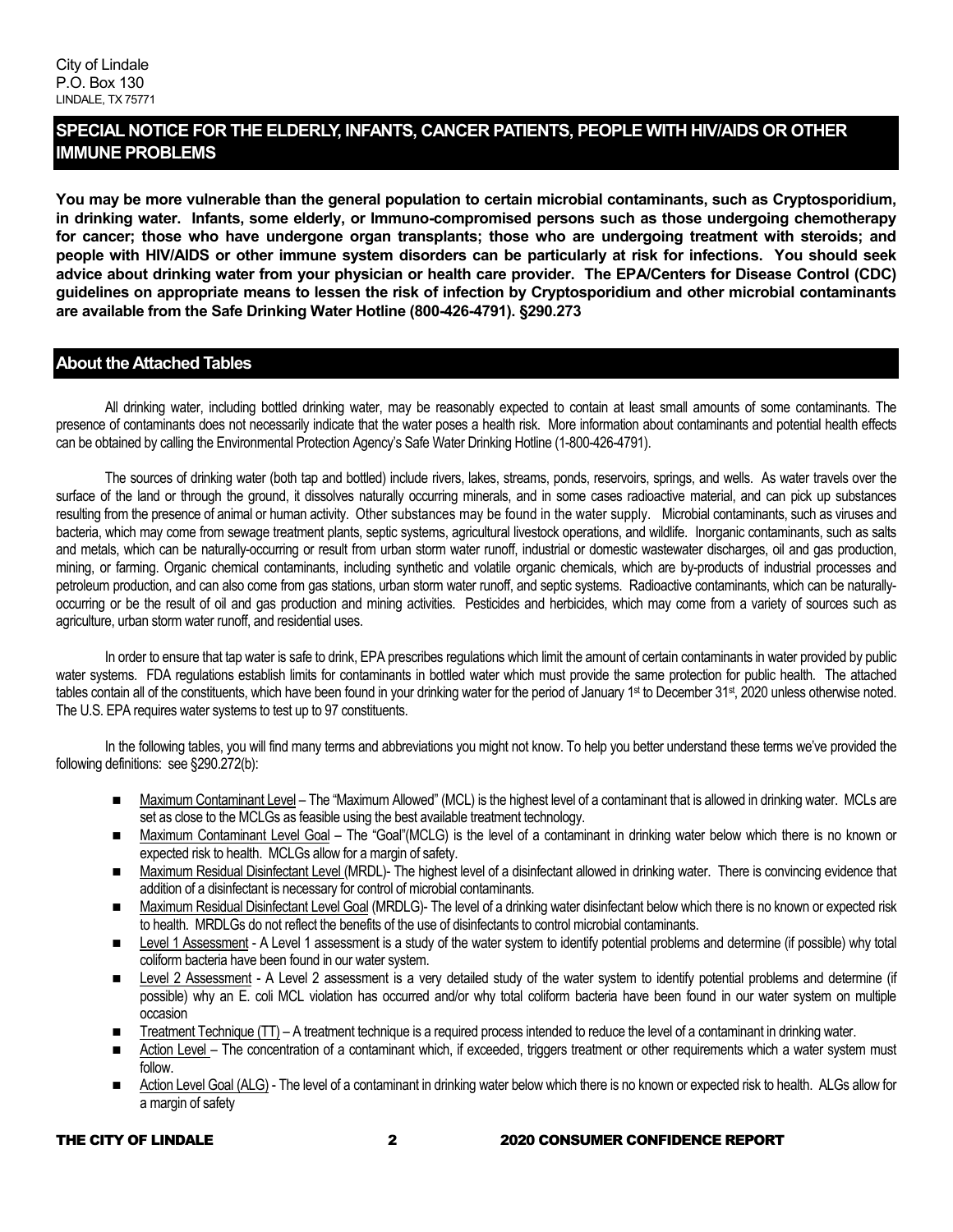# **SPECIAL NOTICE FOR THE ELDERLY, INFANTS, CANCER PATIENTS, PEOPLE WITH HIV/AIDS OR OTHER IMMUNE PROBLEMS**

**You may be more vulnerable than the general population to certain microbial contaminants, such as Cryptosporidium, in drinking water. Infants, some elderly, or Immuno-compromised persons such as those undergoing chemotherapy for cancer; those who have undergone organ transplants; those who are undergoing treatment with steroids; and people with HIV/AIDS or other immune system disorders can be particularly at risk for infections. You should seek advice about drinking water from your physician or health care provider. The EPA/Centers for Disease Control (CDC) guidelines on appropriate means to lessen the risk of infection by Cryptosporidium and other microbial contaminants are available from the Safe Drinking Water Hotline (800-426-4791). §290.273**

# **About the Attached Tables**

All drinking water, including bottled drinking water, may be reasonably expected to contain at least small amounts of some contaminants. The presence of contaminants does not necessarily indicate that the water poses a health risk. More information about contaminants and potential health effects can be obtained by calling the Environmental Protection Agency's Safe Water Drinking Hotline (1-800-426-4791).

The sources of drinking water (both tap and bottled) include rivers, lakes, streams, ponds, reservoirs, springs, and wells. As water travels over the surface of the land or through the ground, it dissolves naturally occurring minerals, and in some cases radioactive material, and can pick up substances resulting from the presence of animal or human activity. Other substances may be found in the water supply. Microbial contaminants, such as viruses and bacteria, which may come from sewage treatment plants, septic systems, agricultural livestock operations, and wildlife. Inorganic contaminants, such as salts and metals, which can be naturally-occurring or result from urban storm water runoff, industrial or domestic wastewater discharges, oil and gas production, mining, or farming. Organic chemical contaminants, including synthetic and volatile organic chemicals, which are by-products of industrial processes and petroleum production, and can also come from gas stations, urban storm water runoff, and septic systems. Radioactive contaminants, which can be naturallyoccurring or be the result of oil and gas production and mining activities. Pesticides and herbicides, which may come from a variety of sources such as agriculture, urban storm water runoff, and residential uses.

In order to ensure that tap water is safe to drink, EPA prescribes regulations which limit the amount of certain contaminants in water provided by public water systems. FDA regulations establish limits for contaminants in bottled water which must provide the same protection for public health. The attached tables contain all of the constituents, which have been found in your drinking water for the period of January 1st to December 31st, 2020 unless otherwise noted. The U.S. EPA requires water systems to test up to 97 constituents.

In the following tables, you will find many terms and abbreviations you might not know. To help you better understand these terms we've provided the following definitions: see §290.272(b):

- Maximum Contaminant Level The "Maximum Allowed" (MCL) is the highest level of a contaminant that is allowed in drinking water. MCLs are set as close to the MCLGs as feasible using the best available treatment technology.
- Maximum Contaminant Level Goal The "Goal"(MCLG) is the level of a contaminant in drinking water below which there is no known or expected risk to health. MCLGs allow for a margin of safety.
- Maximum Residual Disinfectant Level (MRDL)- The highest level of a disinfectant allowed in drinking water. There is convincing evidence that addition of a disinfectant is necessary for control of microbial contaminants.
- Maximum Residual Disinfectant Level Goal (MRDLG)- The level of a drinking water disinfectant below which there is no known or expected risk to health. MRDLGs do not reflect the benefits of the use of disinfectants to control microbial contaminants.
- Level 1 Assessment A Level 1 assessment is a study of the water system to identify potential problems and determine (if possible) why total coliform bacteria have been found in our water system.
- Level 2 Assessment A Level 2 assessment is a very detailed study of the water system to identify potential problems and determine (if possible) why an E. coli MCL violation has occurred and/or why total coliform bacteria have been found in our water system on multiple occasion
- Treatment Technique (TT) A treatment technique is a required process intended to reduce the level of a contaminant in drinking water.
- Action Level The concentration of a contaminant which, if exceeded, triggers treatment or other requirements which a water system must follow.
- Action Level Goal (ALG) The level of a contaminant in drinking water below which there is no known or expected risk to health. ALGs allow for a margin of safety

#### THE CITY OF LINDALE 2 2020 CONSUMER CONFIDENCE REPORT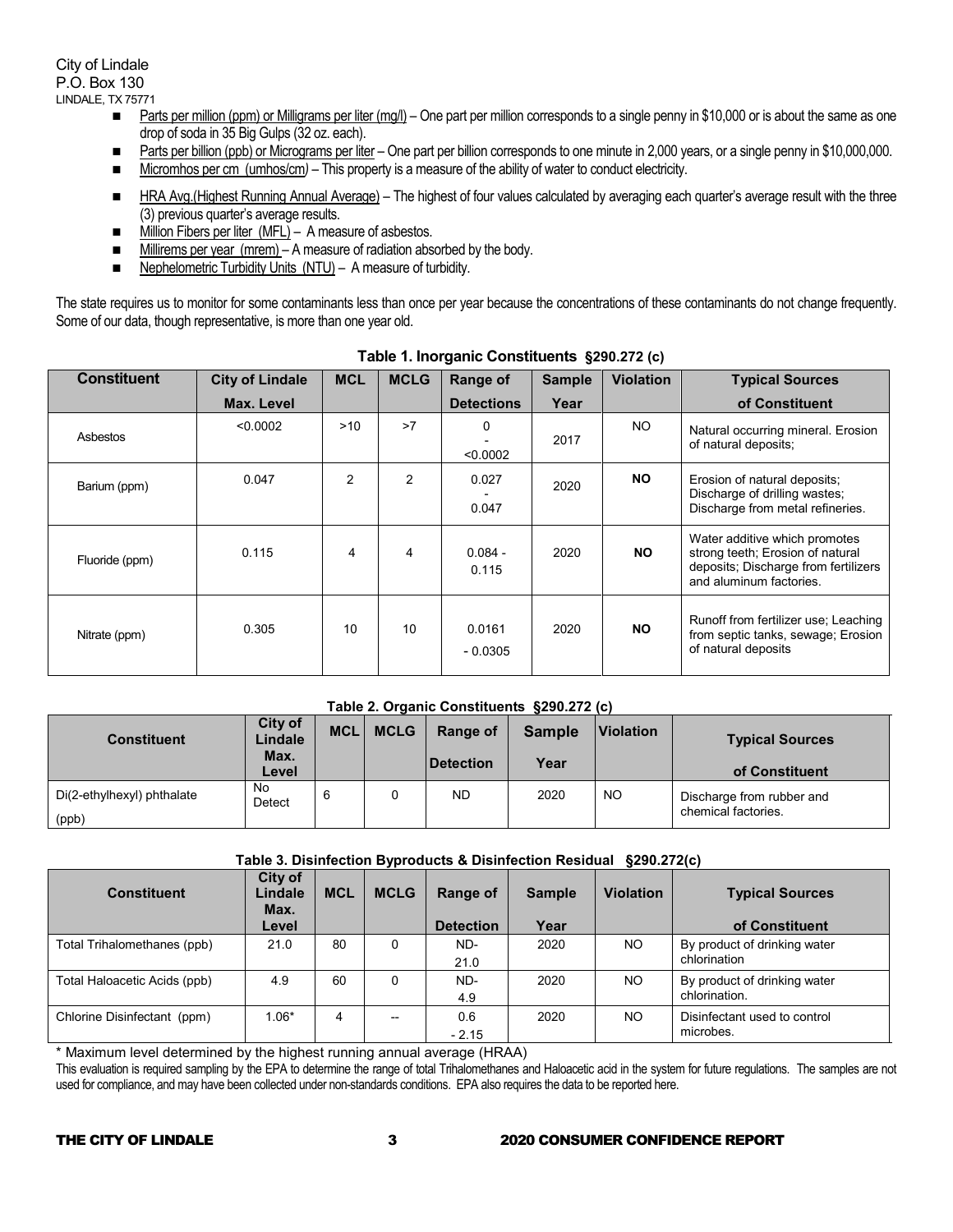City of Lindale P.O. Box 130 LINDALE, TX 75771

- Parts per million (ppm) or Milligrams per liter (mg/l) One part per million corresponds to a single penny in \$10,000 or is about the same as one drop of soda in 35 Big Gulps (32 oz. each).
- Parts per billion (ppb) or Micrograms per liter One part per billion corresponds to one minute in 2,000 years, or a single penny in \$10,000,000.
- Micromhos per cm (umhos/cm) This property is a measure of the ability of water to conduct electricity.
- HRA Avg.(Highest Running Annual Average) The highest of four values calculated by averaging each quarter's average result with the three (3) previous quarter's average results.
- Million Fibers per liter (MFL) A measure of asbestos.
- Millirems per year (mrem) A measure of radiation absorbed by the body.
- Nephelometric Turbidity Units (NTU) A measure of turbidity.

The state requires us to monitor for some contaminants less than once per year because the concentrations of these contaminants do not change frequently. Some of our data, though representative, is more than one year old.

| <b>Constituent</b> | <b>City of Lindale</b> | <b>MCL</b>     | <b>MCLG</b>    | <b>Range of</b>     | <b>Sample</b> | <b>Violation</b> | <b>Typical Sources</b>                                                                                                               |
|--------------------|------------------------|----------------|----------------|---------------------|---------------|------------------|--------------------------------------------------------------------------------------------------------------------------------------|
|                    | Max. Level             |                |                | <b>Detections</b>   | Year          |                  | of Constituent                                                                                                                       |
| Asbestos           | < 0.0002               | >10            | >7             | 0<br>< 0.0002       | 2017          | NO.              | Natural occurring mineral. Erosion<br>of natural deposits;                                                                           |
| Barium (ppm)       | 0.047                  | $\overline{2}$ | $\overline{2}$ | 0.027<br>0.047      | 2020          | <b>NO</b>        | Erosion of natural deposits;<br>Discharge of drilling wastes;<br>Discharge from metal refineries.                                    |
| Fluoride (ppm)     | 0.115                  | 4              | 4              | $0.084 -$<br>0.115  | 2020          | <b>NO</b>        | Water additive which promotes<br>strong teeth; Erosion of natural<br>deposits; Discharge from fertilizers<br>and aluminum factories. |
| Nitrate (ppm)      | 0.305                  | 10             | 10             | 0.0161<br>$-0.0305$ | 2020          | <b>NO</b>        | Runoff from fertilizer use; Leaching<br>from septic tanks, sewage; Erosion<br>of natural deposits                                    |

# **Table 1. Inorganic Constituents §290.272 (c)**

#### **Table 2. Organic Constituents §290.272 (c)**

| <b>Constituent</b>                  | City of<br>Lindale<br>Max.<br>Level | <b>MCL</b> | <b>MCLG</b> | Range of<br>∣Detection | <b>Sample</b><br>Year | <b>Violation</b> | <b>Typical Sources</b><br>of Constituent         |
|-------------------------------------|-------------------------------------|------------|-------------|------------------------|-----------------------|------------------|--------------------------------------------------|
| Di(2-ethylhexyl) phthalate<br>(ppb) | No<br>Detect                        |            |             | <b>ND</b>              | 2020                  | NO               | Discharge from rubber and<br>chemical factories. |

#### **Table 3. Disinfection Byproducts & Disinfection Residual §290.272(c)**

| <b>Constituent</b>           | City of<br>Lindale<br>Max. | <b>MCL</b> | <b>MCLG</b> | <b>Range of</b>  | <b>Sample</b> | <b>Violation</b> | <b>Typical Sources</b>       |
|------------------------------|----------------------------|------------|-------------|------------------|---------------|------------------|------------------------------|
|                              | Level                      |            |             | <b>Detection</b> | Year          |                  | of Constituent               |
| Total Trihalomethanes (ppb)  | 21.0                       | 80         |             | ND-              | 2020          | NO.              | By product of drinking water |
|                              |                            |            |             | 21.0             |               |                  | chlorination                 |
| Total Haloacetic Acids (ppb) | 4.9                        | 60         |             | ND-              | 2020          | NO               | By product of drinking water |
|                              |                            |            |             | 4.9              |               |                  | chlorination.                |
| Chlorine Disinfectant (ppm)  | 1.06*                      | 4          | --          | 0.6              | 2020          | NO.              | Disinfectant used to control |
|                              |                            |            |             | $-2.15$          |               |                  | microbes.                    |

\* Maximum level determined by the highest running annual average (HRAA)

This evaluation is required sampling by the EPA to determine the range of total Trihalomethanes and Haloacetic acid in the system for future regulations. The samples are not used for compliance, and may have been collected under non-standards conditions. EPA also requires the data to be reported here.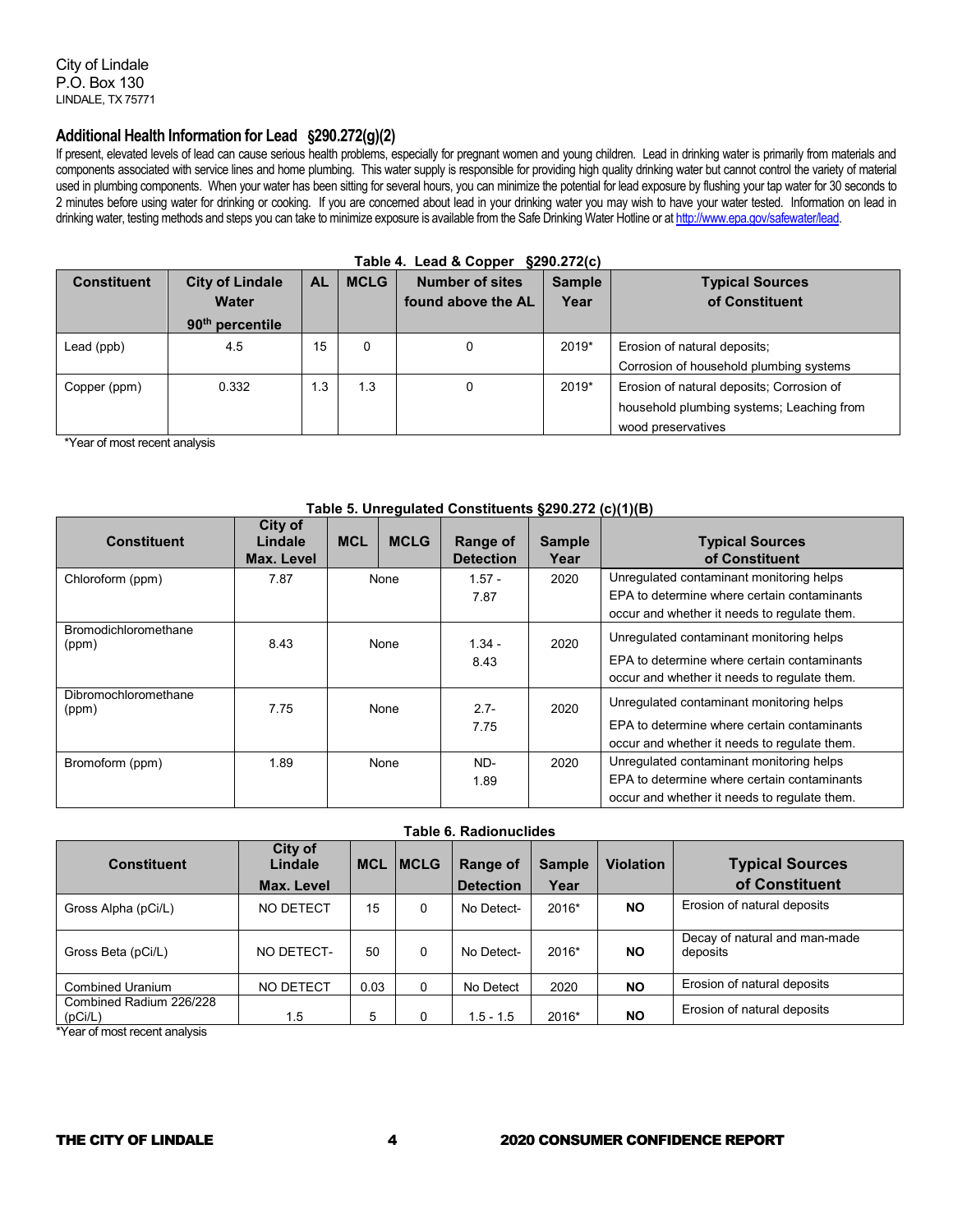City of Lindale P.O. Box 130 LINDALE, TX 75771

### **Additional Health Information for Lead §290.272(g)(2)**

If present, elevated levels of lead can cause serious health problems, especially for pregnant women and young children. Lead in drinking water is primarily from materials and components associated with service lines and home plumbing. This water supply is responsible for providing high quality drinking water but cannot control the variety of material used in plumbing components. When your water has been sitting for several hours, you can minimize the potential for lead exposure by flushing your tap water for 30 seconds to 2 minutes before using water for drinking or cooking. If you are concerned about lead in your drinking water you may wish to have your water tested. Information on lead in drinking water, testing methods and steps you can take to minimize exposure is available from the Safe Drinking Water Hotline or a[t http://www.epa.gov/safewater/lead.](http://www.epa.gov/safewater/lead)

| Table 4. Lead & Copper §290.272(c) |                                                                       |           |             |                                              |                       |                                                                                                              |  |  |  |
|------------------------------------|-----------------------------------------------------------------------|-----------|-------------|----------------------------------------------|-----------------------|--------------------------------------------------------------------------------------------------------------|--|--|--|
| <b>Constituent</b>                 | <b>City of Lindale</b><br><b>Water</b><br>90 <sup>th</sup> percentile | <b>AL</b> | <b>MCLG</b> | <b>Number of sites</b><br>found above the AL | <b>Sample</b><br>Year | <b>Typical Sources</b><br>of Constituent                                                                     |  |  |  |
| Lead (ppb)                         | 4.5                                                                   | 15        | $\Omega$    | 0                                            | 2019*                 | Erosion of natural deposits;<br>Corrosion of household plumbing systems                                      |  |  |  |
| Copper (ppm)                       | 0.332                                                                 | 1.3       | 1.3         | 0                                            | 2019*                 | Erosion of natural deposits; Corrosion of<br>household plumbing systems; Leaching from<br>wood preservatives |  |  |  |

\*Year of most recent analysis

#### **Table 5. Unregulated Constituents §290.272 (c)(1)(B)**

| <b>Constituent</b>            | City of<br>Lindale<br>Max. Level | <b>MCL</b> | <b>MCLG</b> | Range of<br><b>Detection</b> | <b>Sample</b><br>Year | <b>Typical Sources</b><br>of Constituent                                                                                                |
|-------------------------------|----------------------------------|------------|-------------|------------------------------|-----------------------|-----------------------------------------------------------------------------------------------------------------------------------------|
| Chloroform (ppm)              | 7.87                             |            | None        | $1.57 -$<br>7.87             | 2020                  | Unregulated contaminant monitoring helps<br>EPA to determine where certain contaminants<br>occur and whether it needs to regulate them. |
| Bromodichloromethane<br>(ppm) | 8.43                             |            | None        | $1.34 -$<br>8.43             | 2020                  | Unregulated contaminant monitoring helps<br>EPA to determine where certain contaminants<br>occur and whether it needs to regulate them. |
| Dibromochloromethane<br>(ppm) | 7.75                             |            | None        | $2.7 -$<br>7.75              | 2020                  | Unregulated contaminant monitoring helps<br>EPA to determine where certain contaminants<br>occur and whether it needs to regulate them. |
| Bromoform (ppm)               | 1.89                             |            | None        | ND-<br>1.89                  | 2020                  | Unregulated contaminant monitoring helps<br>EPA to determine where certain contaminants<br>occur and whether it needs to regulate them. |

| Table 6. Radionuclides             |                                  |            |              |                              |                       |                  |                                           |  |
|------------------------------------|----------------------------------|------------|--------------|------------------------------|-----------------------|------------------|-------------------------------------------|--|
| <b>Constituent</b>                 | City of<br>Lindale<br>Max. Level | <b>MCL</b> | <b>IMCLG</b> | Range of<br><b>Detection</b> | <b>Sample</b><br>Year | <b>Violation</b> | <b>Typical Sources</b><br>of Constituent  |  |
| Gross Alpha (pCi/L)                | NO DETECT                        | 15         | $\Omega$     | No Detect-                   | 2016*                 | NO.              | Erosion of natural deposits               |  |
| Gross Beta (pCi/L)                 | NO DETECT-                       | 50         | $\Omega$     | No Detect-                   | 2016*                 | <b>NO</b>        | Decay of natural and man-made<br>deposits |  |
| <b>Combined Uranium</b>            | NO DETECT                        | 0.03       | 0            | No Detect                    | 2020                  | <b>NO</b>        | Erosion of natural deposits               |  |
| Combined Radium 226/228<br>(pCi/L) | 1.5                              | 5          | 0            | $1.5 - 1.5$                  | 2016*                 | NΟ               | Erosion of natural deposits               |  |

\*Year of most recent analysis